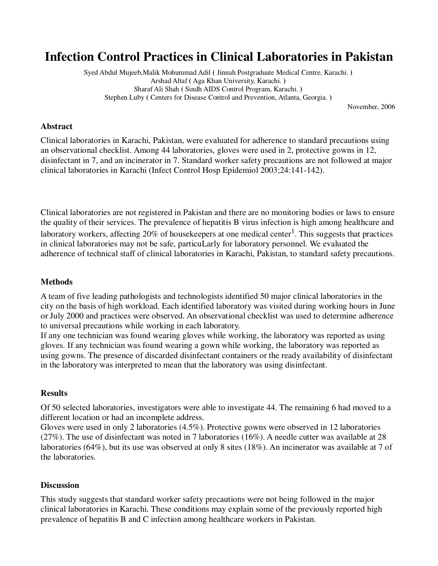# **Infection Control Practices in Clinical Laboratories in Pakistan**

Syed Abdul Mujeeb,Malik Mohummad Adil **(** Jinnah Postgraduate Medical Centre, Karachi. **)**  Arshad Altaf **(** Aga Khan University, Karachi. **)**  Sharaf Ali Shah **(** Sindh AIDS Control Program, Karachi. **)**  Stephen Luby **(** Centers for Disease Control and Prevention, Atlanta, Georgia. **)** 

November, 2006

#### **Abstract**

Clinical laboratories in Karachi, Pakistan, were evaluated for adherence to standard precautions using an observational checklist. Among 44 laboratories, gloves were used in 2, protective gowns in 12, disinfectant in 7, and an incinerator in 7. Standard worker safety precautions are not followed at major clinical laboratories in Karachi (Infect Control Hosp Epidemiol 2003;24:141-142).

Clinical laboratories are not registered in Pakistan and there are no monitoring bodies or laws to ensure the quality of their services. The prevalence of hepatitis B virus infection is high among healthcare and laboratory workers, affecting 20% of housekeepers at one medical center<sup>1</sup>. This suggests that practices in clinical laboratories may not be safe, particuLarly for laboratory personnel. We evaluated the adherence of technical staff of clinical laboratories in Karachi, Pakistan, to standard safety precautions.

### **Methods**

A team of five leading pathologists and technologists identified 50 major clinical laboratories in the city on the basis of high workload. Each identified laboratory was visited during working hours in June or July 2000 and practices were observed. An observational checklist was used to determine adherence to universal precautions while working in each laboratory.

If any one technician was found wearing gloves while working, the laboratory was reported as using gloves. If any technician was found wearing a gown while working, the laboratory was reported as using gowns. The presence of discarded disinfectant containers or the ready availability of disinfectant in the laboratory was interpreted to mean that the laboratory was using disinfectant.

## **Results**

Of 50 selected laboratories, investigators were able to investigate 44. The remaining 6 had moved to a different location or had an incomplete address.

Gloves were used in only 2 laboratories (4.5%). Protective gowns were observed in 12 laboratories (27%). The use of disinfectant was noted in 7 laboratories (16%). A needle cutter was available at 28 laboratories (64%), but its use was observed at only 8 sites (18%). An incinerator was available at 7 of the laboratories.

#### **Discussion**

This study suggests that standard worker safety precautions were not being followed in the major clinical laboratories in Karachi. These conditions may explain some of the previously reported high prevalence of hepatitis B and C infection among healthcare workers in Pakistan.